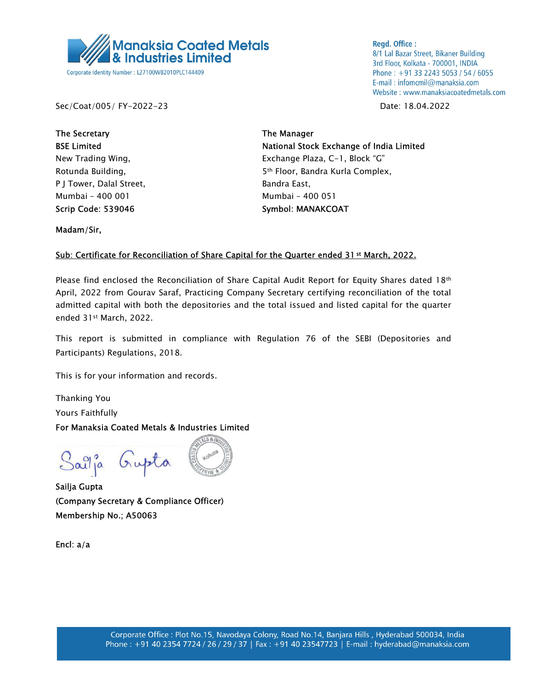

**Regd. Office:** 8/1 Lal Bazar Street, Bikaner Building 3rd Floor, Kolkata - 700001, INDIA Phone: +91 33 2243 5053 / 54 / 6055 E-mail: infomcmil@manaksia.com Website: www.manaksiacoatedmetals.com

Sec/Coat/005/ FY-2022-23 Date: 18.04.2022

The Secretary **The Manager** The Manager P J Tower, Dalal Street, Bandra East, Mumbai – 400 001 Mumbai – 400 051 Scrip Code: 539046 Symbol: MANAKCOAT

BSE Limited **National Stock Exchange of India Limited** New Trading Wing, The Communication of the Exchange Plaza, C-1, Block "G" Rotunda Building, The State of the State of Sth Floor, Bandra Kurla Complex,

Madam/Sir,

## Sub: Certificate for Reconciliation of Share Capital for the Quarter ended 31<sup>st</sup> March, 2022.

Please find enclosed the Reconciliation of Share Capital Audit Report for Equity Shares dated 18<sup>th</sup> April, 2022 from Gourav Saraf, Practicing Company Secretary certifying reconciliation of the total admitted capital with both the depositories and the total issued and listed capital for the quarter ended 31st March, 2022.

This report is submitted in compliance with Regulation 76 of the SEBI (Depositories and Participants) Regulations, 2018.

This is for your information and records.

Thanking You Yours Faithfully

For Manaksia Coated Metals & Industries Limited

Sailja Gupta

Sailja Gupta (Company Secretary & Compliance Officer) Membership No.; A50063

Encl: a/a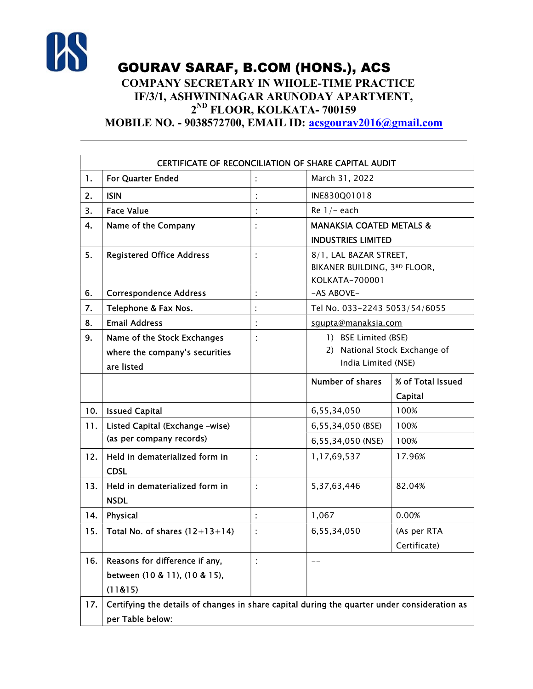

GOURAV SARAF, B.COM (HONS.), ACS

## COMPANY SECRETARY IN WHOLE-TIME PRACTICE IF/3/1, ASHWININAGAR ARUNODAY APARTMENT, 2 ND FLOOR, KOLKATA- 700159

MOBILE NO. - 9038572700, EMAIL ID: acsgourav2016@gmail.com

| CERTIFICATE OF RECONCILIATION OF SHARE CAPITAL AUDIT |                                                                                              |   |                                             |                   |  |
|------------------------------------------------------|----------------------------------------------------------------------------------------------|---|---------------------------------------------|-------------------|--|
| 1.                                                   | For Quarter Ended                                                                            |   | March 31, 2022                              |                   |  |
| 2.                                                   | <b>ISIN</b>                                                                                  |   | INE830Q01018                                |                   |  |
| 3.                                                   | <b>Face Value</b>                                                                            |   | Re $1/-$ each                               |                   |  |
| 4.                                                   | Name of the Company                                                                          |   | <b>MANAKSIA COATED METALS &amp;</b>         |                   |  |
|                                                      |                                                                                              |   | <b>INDUSTRIES LIMITED</b>                   |                   |  |
| 5.                                                   | <b>Registered Office Address</b>                                                             |   | 8/1, LAL BAZAR STREET,                      |                   |  |
|                                                      |                                                                                              |   | BIKANER BUILDING, 3RD FLOOR,                |                   |  |
| 6.                                                   | <b>Correspondence Address</b>                                                                |   | KOLKATA-700001<br>-AS ABOVE-                |                   |  |
| 7.                                                   | Telephone & Fax Nos.                                                                         |   |                                             |                   |  |
| 8.                                                   | <b>Email Address</b>                                                                         |   | Tel No. 033-2243 5053/54/6055               |                   |  |
| 9.                                                   | Name of the Stock Exchanges                                                                  | t | squpta@manaksia.com<br>1) BSE Limited (BSE) |                   |  |
|                                                      | where the company's securities                                                               |   | 2) National Stock Exchange of               |                   |  |
|                                                      | are listed                                                                                   |   | India Limited (NSE)                         |                   |  |
|                                                      |                                                                                              |   | <b>Number of shares</b>                     | % of Total Issued |  |
|                                                      |                                                                                              |   |                                             | Capital           |  |
| 10.                                                  | <b>Issued Capital</b>                                                                        |   | 6,55,34,050                                 | 100%              |  |
| 11.                                                  | Listed Capital (Exchange -wise)                                                              |   | 6,55,34,050 (BSE)                           | 100%              |  |
|                                                      | (as per company records)                                                                     |   | 6,55,34,050 (NSE)                           | 100%              |  |
| 12.                                                  | Held in dematerialized form in                                                               | ÷ | 1,17,69,537                                 | 17.96%            |  |
|                                                      | <b>CDSL</b>                                                                                  |   |                                             |                   |  |
| 13.                                                  | Held in dematerialized form in                                                               | ÷ | 5,37,63,446                                 | 82.04%            |  |
|                                                      | <b>NSDL</b>                                                                                  |   |                                             |                   |  |
| 14.                                                  | Physical                                                                                     |   | 1,067                                       | 0.00%             |  |
| 15.                                                  | Total No. of shares $(12+13+14)$                                                             |   | 6,55,34,050                                 | (As per RTA       |  |
|                                                      |                                                                                              |   |                                             | Certificate)      |  |
| 16.                                                  | Reasons for difference if any,                                                               |   |                                             |                   |  |
|                                                      | between (10 & 11), (10 & 15),                                                                |   |                                             |                   |  |
|                                                      | (11&815)                                                                                     |   |                                             |                   |  |
| 17.                                                  | Certifying the details of changes in share capital during the quarter under consideration as |   |                                             |                   |  |
|                                                      | per Table below:                                                                             |   |                                             |                   |  |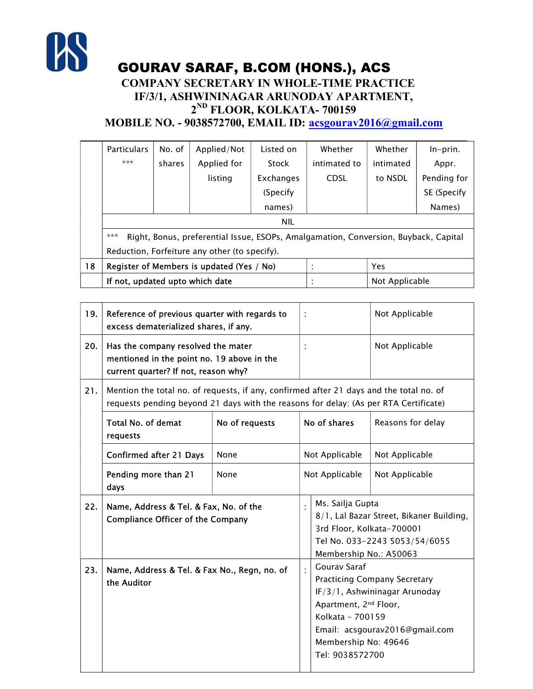

GOURAV SARAF, B.COM (HONS.), ACS

## COMPANY SECRETARY IN WHOLE-TIME PRACTICE IF/3/1, ASHWININAGAR ARUNODAY APARTMENT, 2 ND FLOOR, KOLKATA- 700159

MOBILE NO. - 9038572700, EMAIL ID: acsgourav2016@gmail.com

|    | <b>Particulars</b>                                                                         | No. of | Applied/Not | Listed on | Whether        | Whether   | $In-prin.$  |
|----|--------------------------------------------------------------------------------------------|--------|-------------|-----------|----------------|-----------|-------------|
|    | ***                                                                                        | shares | Applied for | Stock     | intimated to   | intimated | Appr.       |
|    |                                                                                            |        | listing     | Exchanges | <b>CDSL</b>    | to NSDL   | Pending for |
|    |                                                                                            |        |             | (Specify) |                |           | SE (Specify |
|    |                                                                                            |        |             | names)    |                |           | Names)      |
|    | <b>NIL</b>                                                                                 |        |             |           |                |           |             |
|    | ***<br>Right, Bonus, preferential Issue, ESOPs, Amalgamation, Conversion, Buyback, Capital |        |             |           |                |           |             |
|    | Reduction, Forfeiture any other (to specify).                                              |        |             |           |                |           |             |
| 18 | Register of Members is updated (Yes / No)                                                  |        |             |           | Yes            |           |             |
|    | If not, updated upto which date                                                            |        |             |           | Not Applicable |           |             |

| 19. | Reference of previous quarter with regards to<br>excess dematerialized shares, if any.                                                                                          |                |                |                                                                                                                                                                                                                                   | Not Applicable                                                            |
|-----|---------------------------------------------------------------------------------------------------------------------------------------------------------------------------------|----------------|----------------|-----------------------------------------------------------------------------------------------------------------------------------------------------------------------------------------------------------------------------------|---------------------------------------------------------------------------|
| 20. | Has the company resolved the mater<br>mentioned in the point no. 19 above in the<br>current quarter? If not, reason why?                                                        |                |                |                                                                                                                                                                                                                                   | Not Applicable                                                            |
| 21. | Mention the total no. of requests, if any, confirmed after 21 days and the total no. of<br>requests pending beyond 21 days with the reasons for delay: (As per RTA Certificate) |                |                |                                                                                                                                                                                                                                   |                                                                           |
|     | Total No. of demat<br>requests                                                                                                                                                  | No of requests |                | No of shares                                                                                                                                                                                                                      | Reasons for delay                                                         |
|     | <b>Confirmed after 21 Days</b>                                                                                                                                                  | None           | Not Applicable |                                                                                                                                                                                                                                   | Not Applicable                                                            |
|     | Pending more than 21<br>days                                                                                                                                                    | None           |                | Not Applicable                                                                                                                                                                                                                    | Not Applicable                                                            |
| 22. | Name, Address & Tel. & Fax, No. of the<br><b>Compliance Officer of the Company</b>                                                                                              |                |                | Ms. Sailja Gupta<br>3rd Floor, Kolkata-700001<br>Membership No.: A50063                                                                                                                                                           | 8/1, Lal Bazar Street, Bikaner Building,<br>Tel No. 033-2243 5053/54/6055 |
| 23. | Name, Address & Tel. & Fax No., Regn, no. of<br>the Auditor                                                                                                                     |                |                | <b>Gourav Saraf</b><br><b>Practicing Company Secretary</b><br>IF/3/1, Ashwininagar Arunoday<br>Apartment, 2 <sup>nd</sup> Floor,<br>Kolkata - 700159<br>Email: acsgourav2016@gmail.com<br>Membership No: 49646<br>Tel: 9038572700 |                                                                           |